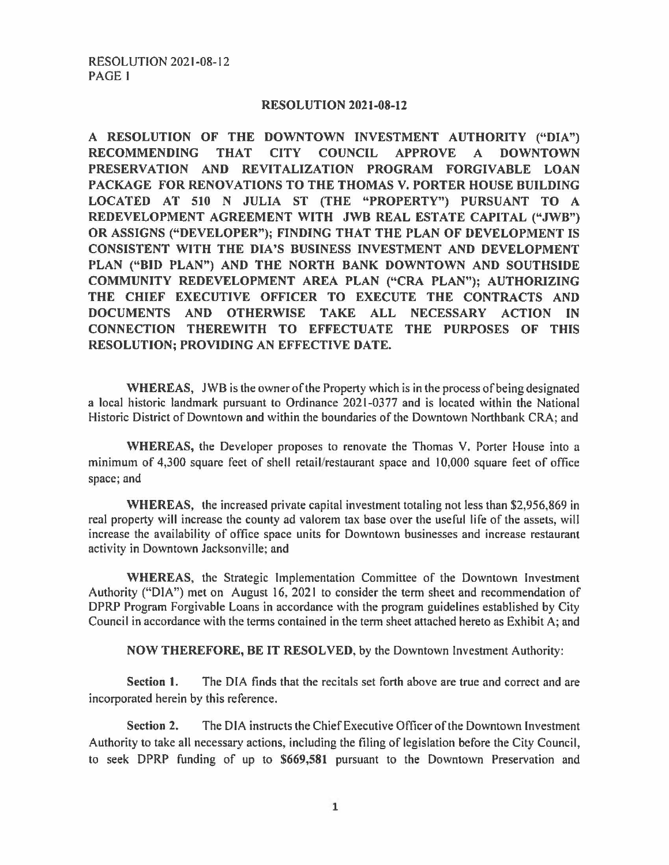## **RESOLUTION 2021-08-12**

**A RESOLUTION OF THE DOWNTOWN INVESTMENT AUTHORITY ("DIA") RECOMMENDING THAT CITY COUNCIL APPROVE A DOWNTOWN**  PRESERVATION AND REVITALIZATION PROGRAM FORGIVABLE LOAN **PACKAGE FOR RENOVATIONS TO THE THOMAS V. PORTER HOUSE BUILDING LOCATED AT 510 N JULIA ST (THE "PROPERTY") PURSUANT TO A REDEVELOPMENT AGREEMENT WITH JWB REAL ESTATE CAPITAL ("JWB") OR ASSIGNS ("DEVELOPER"); FINDING THAT THE PLAN OF DEVELOPMENT IS CONSISTENT WITH THE DIA 'S BUSINESS INVESTMENT AND DEVELOPMENT PLAN ("BID PLAN") AND THE NORTH BANK DOWNTOWN AND SOUTHSIDE COMMUNITY REDEVELOPMENT AREA PLAN ("CRA PLAN"); AUTHORIZING THE CHIEF EXECUTIVE OFFICER TO** EXECUTE **THE CONTRACTS AND DOCUMENTS AND OTHERWISE TAKE ALL NECESSARY ACTION IN CONNECTION THEREWITH TO EFFECTUATE THE PURPOSES OF THIS RESOLUTION; PROVIDING AN EFFECTIVE DATE.** 

**WHEREAS,** JWB is the owner of the Property which is in the process of being designated a local historic landmark pursuant to Ordinance 2021-0377 and is located within the National Historic District of Downtown and within the boundaries of the Downtown Northbank CRA; and

**WHEREAS,** the Developer proposes to renovate the Thomas V. Porter House into a minimum of 4,300 square feet of shell retail/restaurant space and I 0,000 square feet of office space; and

**WHEREAS,** the increased private capital investment totaling not less than \$2,956,869 in real property will increase the county ad valorem tax base over the useful life of the assets, will increase the availability of office space units for Downtown businesses and increase restaurant activity in Downtown Jacksonville; and

**WHEREAS,** the Strategic Implementation Committee of the Downtown Investment Authority ("DIA") met on August 16, 2021 to consider the term sheet and recommendation of DPRP Program Forgivable Loans in accordance with the program guidelines established by City Council in accordance with the terms contained in the term sheet attached hereto as Exhibit A; and

**NOW THEREFORE, BE IT RESOLVED,** by the Downtown Investment Authority:

**Section 1.** The DIA finds that the recitals set forth above are true and correct and are incorporated herein by this reference.

Section 2. The DIA instructs the Chief Executive Officer of the Downtown Investment Authority to take all necessary actions, including the filing of legislation before the City Council, to seek DPRP funding of up to **\$669,581** pursuant to the Downtown Preservation and